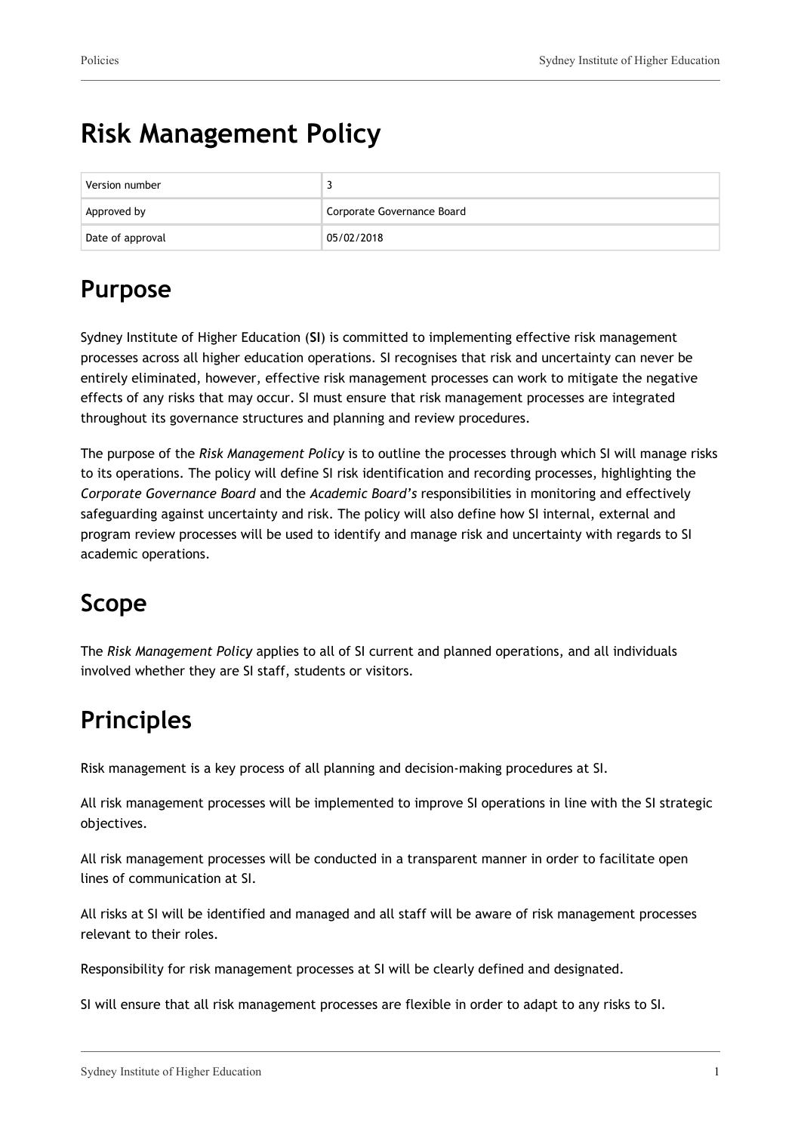# **Risk Management Policy**

| Version number   |                            |
|------------------|----------------------------|
| Approved by      | Corporate Governance Board |
| Date of approval | 05/02/2018                 |

## **Purpose**

Sydney Institute of Higher Education (**SI**) is committed to implementing effective risk management processes across all higher education operations. SI recognises that risk and uncertainty can never be entirely eliminated, however, effective risk management processes can work to mitigate the negative effects of any risks that may occur. SI must ensure that risk management processes are integrated throughout its governance structures and planning and review procedures.

The purpose of the *Risk Management Policy* is to outline the processes through which SI will manage risks to its operations. The policy will define SI risk identification and recording processes, highlighting the *Corporate Governance Board* and the *Academic Board's* responsibilities in monitoring and effectively safeguarding against uncertainty and risk. The policy will also define how SI internal, external and program review processes will be used to identify and manage risk and uncertainty with regards to SI academic operations.

### **Scope**

The *Risk Management Policy* applies to all of SI current and planned operations, and all individuals involved whether they are SI staff, students or visitors.

## **Principles**

Risk management is a key process of all planning and decision-making procedures at SI.

All risk management processes will be implemented to improve SI operations in line with the SI strategic objectives.

All risk management processes will be conducted in a transparent manner in order to facilitate open lines of communication at SI.

All risks at SI will be identified and managed and all staff will be aware of risk management processes relevant to their roles.

Responsibility for risk management processes at SI will be clearly defined and designated.

SI will ensure that all risk management processes are flexible in order to adapt to any risks to SI.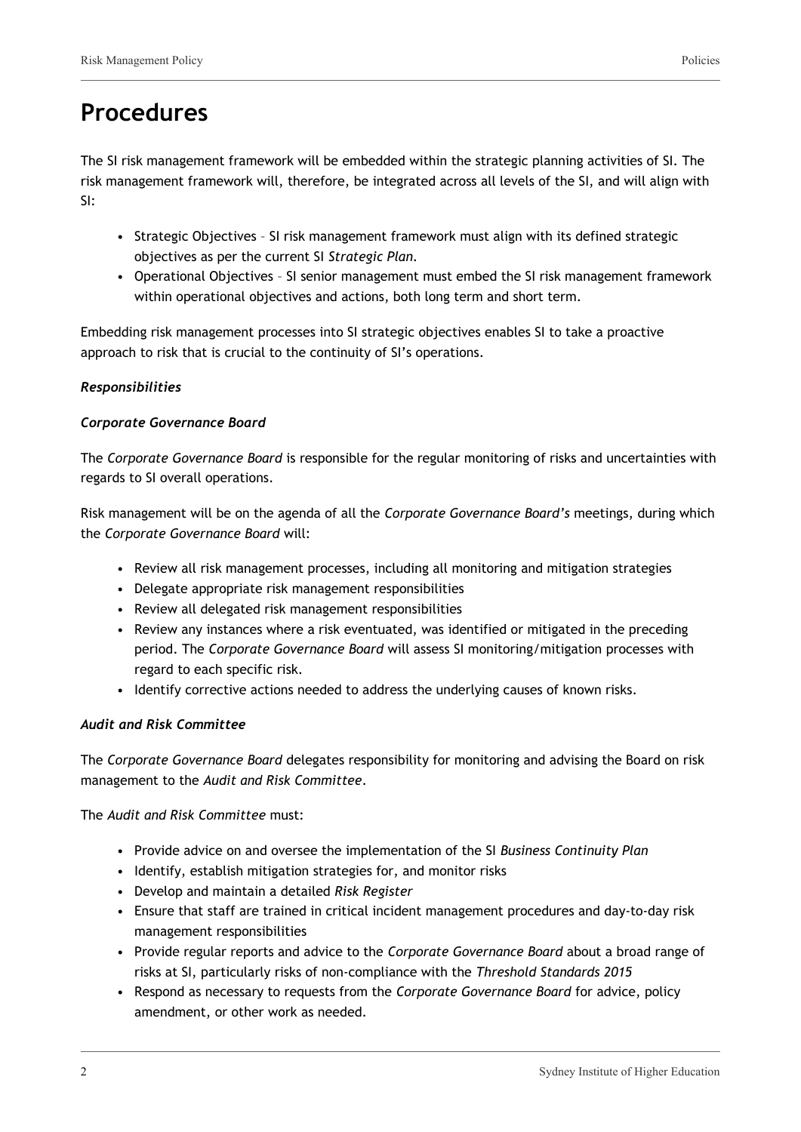### **Procedures**

The SI risk management framework will be embedded within the strategic planning activities of SI. The risk management framework will, therefore, be integrated across all levels of the SI, and will align with SI:

- Strategic Objectives SI risk management framework must align with its defined strategic objectives as per the current SI *Strategic Plan.*
- Operational Objectives SI senior management must embed the SI risk management framework within operational objectives and actions, both long term and short term.

Embedding risk management processes into SI strategic objectives enables SI to take a proactive approach to risk that is crucial to the continuity of SI's operations.

#### *Responsibilities*

#### *Corporate Governance Board*

The *Corporate Governance Board* is responsible for the regular monitoring of risks and uncertainties with regards to SI overall operations.

Risk management will be on the agenda of all the *Corporate Governance Board's* meetings, during which the *Corporate Governance Board* will:

- Review all risk management processes, including all monitoring and mitigation strategies
- Delegate appropriate risk management responsibilities
- Review all delegated risk management responsibilities
- Review any instances where a risk eventuated, was identified or mitigated in the preceding period. The *Corporate Governance Board* will assess SI monitoring/mitigation processes with regard to each specific risk.
- Identify corrective actions needed to address the underlying causes of known risks.

#### *Audit and Risk Committee*

The *Corporate Governance Board* delegates responsibility for monitoring and advising the Board on risk management to the *Audit and Risk Committee*.

The *Audit and Risk Committee* must:

- Provide advice on and oversee the implementation of the SI *Business Continuity Plan*
- Identify, establish mitigation strategies for, and monitor risks
- Develop and maintain a detailed *Risk Register*
- Ensure that staff are trained in critical incident management procedures and day-to-day risk management responsibilities
- Provide regular reports and advice to the *Corporate Governance Board* about a broad range of risks at SI, particularly risks of non-compliance with the *Threshold Standards 2015*
- Respond as necessary to requests from the *Corporate Governance Board* for advice, policy amendment, or other work as needed.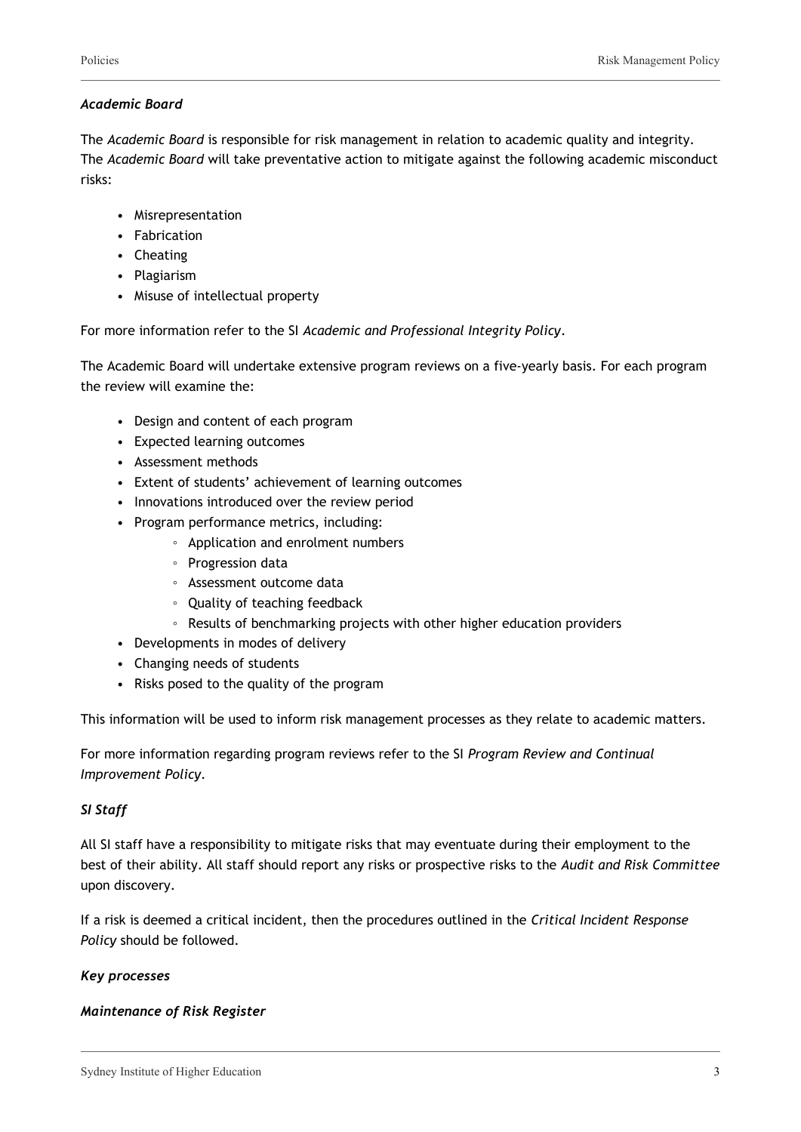#### *Academic Board*

The *Academic Board* is responsible for risk management in relation to academic quality and integrity. The *Academic Board* will take preventative action to mitigate against the following academic misconduct risks:

- Misrepresentation
- Fabrication
- Cheating
- Plagiarism
- Misuse of intellectual property

For more information refer to the SI *Academic and Professional Integrity Policy*.

The Academic Board will undertake extensive program reviews on a five-yearly basis. For each program the review will examine the:

- Design and content of each program
- Expected learning outcomes
- Assessment methods
- Extent of students' achievement of learning outcomes
- Innovations introduced over the review period
- Program performance metrics, including:
	- Application and enrolment numbers
	- Progression data
	- Assessment outcome data
	- Quality of teaching feedback
	- Results of benchmarking projects with other higher education providers
- Developments in modes of delivery
- Changing needs of students
- Risks posed to the quality of the program

This information will be used to inform risk management processes as they relate to academic matters.

For more information regarding program reviews refer to the SI *Program Review and Continual Improvement Policy*.

#### *SI Staff*

All SI staff have a responsibility to mitigate risks that may eventuate during their employment to the best of their ability. All staff should report any risks or prospective risks to the *Audit and Risk Committee* upon discovery.

If a risk is deemed a critical incident, then the procedures outlined in the *Critical Incident Response Policy* should be followed.

#### *Key processes*

#### *Maintenance of Risk Register*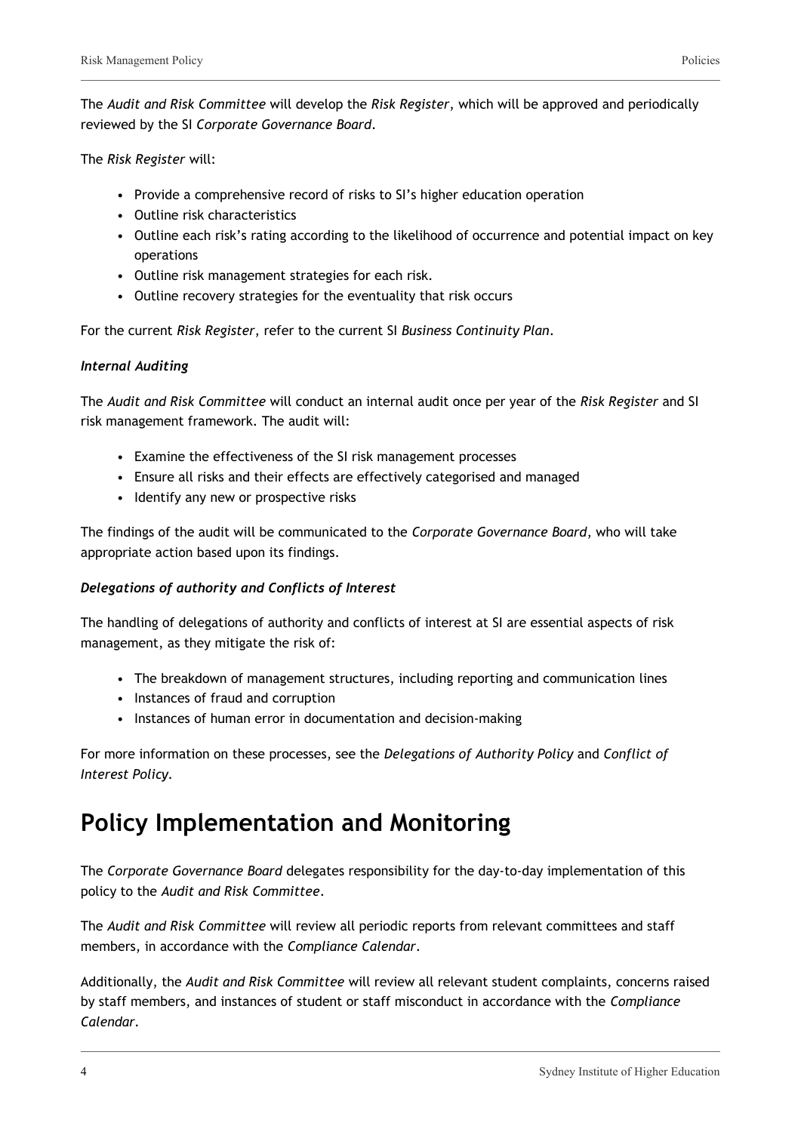The *Audit and Risk Committee* will develop the *Risk Register*, which will be approved and periodically reviewed by the SI *Corporate Governance Board*.

The *Risk Register* will:

- Provide a comprehensive record of risks to SI's higher education operation
- Outline risk characteristics
- Outline each risk's rating according to the likelihood of occurrence and potential impact on key operations
- Outline risk management strategies for each risk.
- Outline recovery strategies for the eventuality that risk occurs

For the current *Risk Register*, refer to the current SI *Business Continuity Plan*.

#### *Internal Auditing*

The *Audit and Risk Committee* will conduct an internal audit once per year of the *Risk Register* and SI risk management framework. The audit will:

- Examine the effectiveness of the SI risk management processes
- Ensure all risks and their effects are effectively categorised and managed
- Identify any new or prospective risks

The findings of the audit will be communicated to the *Corporate Governance Board*, who will take appropriate action based upon its findings.

#### *Delegations of authority and Conflicts of Interest*

The handling of delegations of authority and conflicts of interest at SI are essential aspects of risk management, as they mitigate the risk of:

- The breakdown of management structures, including reporting and communication lines
- Instances of fraud and corruption
- Instances of human error in documentation and decision-making

For more information on these processes, see the *Delegations of Authority Policy* and *Conflict of Interest Policy.*

### **Policy Implementation and Monitoring**

The *Corporate Governance Board* delegates responsibility for the day-to-day implementation of this policy to the *Audit and Risk Committee*.

The *Audit and Risk Committee* will review all periodic reports from relevant committees and staff members, in accordance with the *Compliance Calendar*.

Additionally, the *Audit and Risk Committee* will review all relevant student complaints, concerns raised by staff members, and instances of student or staff misconduct in accordance with the *Compliance Calendar.*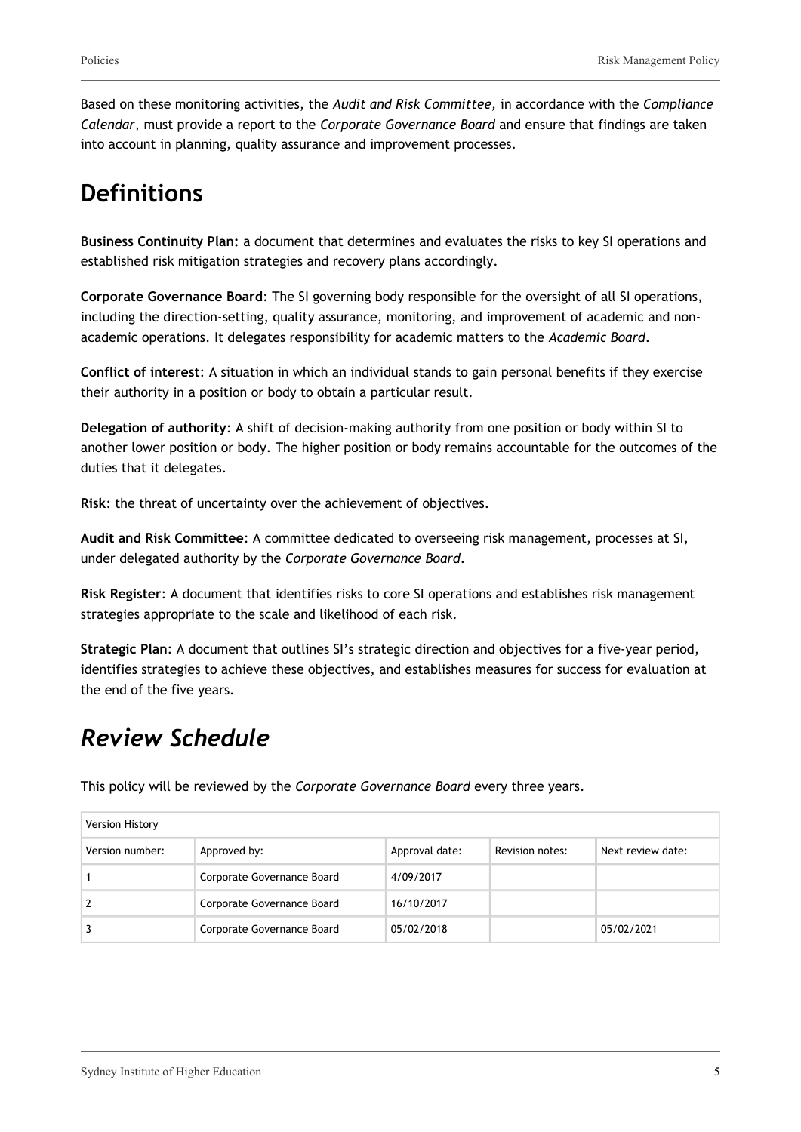Based on these monitoring activities, the *Audit and Risk Committee,* in accordance with the *Compliance Calendar*, must provide a report to the *Corporate Governance Board* and ensure that findings are taken into account in planning, quality assurance and improvement processes.

### **Definitions**

**Business Continuity Plan:** a document that determines and evaluates the risks to key SI operations and established risk mitigation strategies and recovery plans accordingly.

**Corporate Governance Board**: The SI governing body responsible for the oversight of all SI operations, including the direction-setting, quality assurance, monitoring, and improvement of academic and nonacademic operations. It delegates responsibility for academic matters to the *Academic Board*.

**Conflict of interest**: A situation in which an individual stands to gain personal benefits if they exercise their authority in a position or body to obtain a particular result.

**Delegation of authority**: A shift of decision-making authority from one position or body within SI to another lower position or body. The higher position or body remains accountable for the outcomes of the duties that it delegates.

**Risk**: the threat of uncertainty over the achievement of objectives.

**Audit and Risk Committee**: A committee dedicated to overseeing risk management, processes at SI, under delegated authority by the *Corporate Governance Board*.

**Risk Register**: A document that identifies risks to core SI operations and establishes risk management strategies appropriate to the scale and likelihood of each risk.

**Strategic Plan**: A document that outlines SI's strategic direction and objectives for a five-year period, identifies strategies to achieve these objectives, and establishes measures for success for evaluation at the end of the five years.

### *Review Schedule*

This policy will be reviewed by the *Corporate Governance Board* every three years.

| Version History |                            |                |                 |                   |
|-----------------|----------------------------|----------------|-----------------|-------------------|
| Version number: | Approved by:               | Approval date: | Revision notes: | Next review date: |
|                 | Corporate Governance Board | 4/09/2017      |                 |                   |
|                 | Corporate Governance Board | 16/10/2017     |                 |                   |
|                 | Corporate Governance Board | 05/02/2018     |                 | 05/02/2021        |